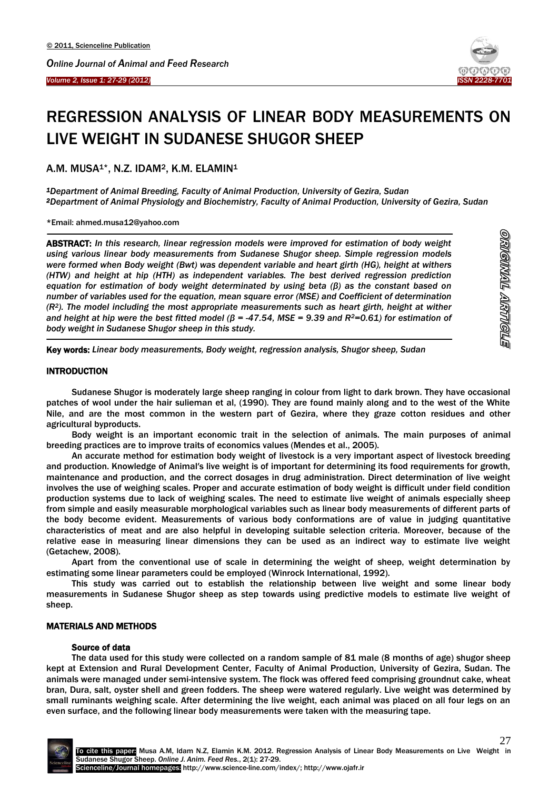

# REGRESSION ANALYSIS OF LINEAR BODY MEASUREMENTS ON LIVE WEIGHT IN SUDANESE SHUGOR SHEEP

A.M. MUSA<sup>1\*</sup>, N.Z. IDAM<sup>2</sup>, K.M. ELAMIN<sup>1</sup>

*<sup>1</sup>Department of Animal Breeding, Faculty of Animal Production, University of Gezira, Sudan <sup>2</sup>Department of Animal Physiology and Biochemistry, Faculty of Animal Production, University of Gezira, Sudan*

\*Email: ahmed.musa12@yahoo.com

ABSTRACT: *In this research, linear regression models were improved for estimation of body weight using various linear body measurements from Sudanese Shugor sheep. Simple regression models were formed when Body weight (Bwt) was dependent variable and heart girth (HG), height at withers (HTW) and height at hip (HTH) as independent variables. The best derived regression prediction equation for estimation of body weight determinated by using beta (β) as the constant based on number of variables used for the equation, mean square error (MSE) and Coefficient of determination (R2). The model including the most appropriate measurements such as heart girth, height at wither and height at hip were the best fitted model (β = -47.54, MSE = 9.39 and R2=0.61) for estimation of body weight in Sudanese Shugor sheep in this study.* 

Key words: *Linear body measurements, Body weight, regression analysis, Shugor sheep, Sudan*

### **INTRODUCTION**

 $\overline{a}$ 

 $\overline{\phantom{a}}$ 

Sudanese Shugor is moderately large sheep ranging in colour from light to dark brown. They have occasional patches of wool under the hair sulieman et al, (1990). They are found mainly along and to the west of the White Nile, and are the most common in the western part of Gezira, where they graze cotton residues and other agricultural byproducts.

Body weight is an important economic trait in the selection of animals. The main purposes of animal breeding practices are to improve traits of economics values (Mendes et al., 2005).

An accurate method for estimation body weight of livestock is a very important aspect of livestock breeding and production. Knowledge of Animal′s live weight is of important for determining its food requirements for growth, maintenance and production, and the correct dosages in drug administration. Direct determination of live weight involves the use of weighing scales. Proper and accurate estimation of body weight is difficult under field condition production systems due to lack of weighing scales. The need to estimate live weight of animals especially sheep from simple and easily measurable morphological variables such as linear body measurements of different parts of the body become evident. Measurements of various body conformations are of value in judging quantitative characteristics of meat and are also helpful in developing suitable selection criteria. Moreover, because of the relative ease in measuring linear dimensions they can be used as an indirect way to estimate live weight (Getachew, 2008).

Apart from the conventional use of scale in determining the weight of sheep, weight determination by estimating some linear parameters could be employed (Winrock International, 1992).

This study was carried out to establish the relationship between live weight and some linear body measurements in Sudanese Shugor sheep as step towards using predictive models to estimate live weight of sheep.

#### MATERIALS AND METHODS

#### Source of data

The data used for this study were collected on a random sample of 81 male (8 months of age) shugor sheep kept at Extension and Rural Development Center, Faculty of Animal Production, University of Gezira, Sudan. The animals were managed under semi-intensive system. The flock was offered feed comprising groundnut cake, wheat bran, Dura, salt, oyster shell and green fodders. The sheep were watered regularly. Live weight was determined by small ruminants weighing scale. After determining the live weight, each animal was placed on all four legs on an even surface, and the following linear body measurements were taken with the measuring tape.

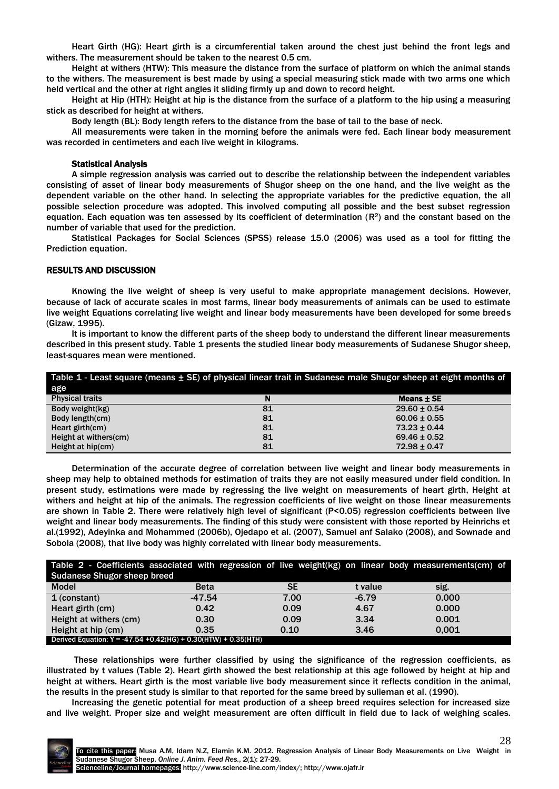Heart Girth (HG): Heart girth is a circumferential taken around the chest just behind the front legs and withers. The measurement should be taken to the nearest 0.5 cm.

Height at withers (HTW): This measure the distance from the surface of platform on which the animal stands to the withers. The measurement is best made by using a special measuring stick made with two arms one which held vertical and the other at right angles it sliding firmly up and down to record height.

Height at Hip (HTH): Height at hip is the distance from the surface of a platform to the hip using a measuring stick as described for height at withers.

Body length (BL): Body length refers to the distance from the base of tail to the base of neck.

All measurements were taken in the morning before the animals were fed. Each linear body measurement was recorded in centimeters and each live weight in kilograms.

# Statistical Analysis

A simple regression analysis was carried out to describe the relationship between the independent variables consisting of asset of linear body measurements of Shugor sheep on the one hand, and the live weight as the dependent variable on the other hand. In selecting the appropriate variables for the predictive equation, the all possible selection procedure was adopted. This involved computing all possible and the best subset regression equation. Each equation was ten assessed by its coefficient of determination  $(R^2)$  and the constant based on the number of variable that used for the prediction.

Statistical Packages for Social Sciences (SPSS) release 15.0 (2006) was used as a tool for fitting the Prediction equation.

## RESULTS AND DISCUSSION

Knowing the live weight of sheep is very useful to make appropriate management decisions. However, because of lack of accurate scales in most farms, linear body measurements of animals can be used to estimate live weight Equations correlating live weight and linear body measurements have been developed for some breeds (Gizaw, 1995).

It is important to know the different parts of the sheep body to understand the different linear measurements described in this present study. Table 1 presents the studied linear body measurements of Sudanese Shugor sheep, least-squares mean were mentioned.

| Table 1 - Least square (means $\pm$ SE) of physical linear trait in Sudanese male Shugor sheep at eight months of |    |                  |  |  |  |
|-------------------------------------------------------------------------------------------------------------------|----|------------------|--|--|--|
| age                                                                                                               |    |                  |  |  |  |
| <b>Physical traits</b>                                                                                            |    | Means ± SE       |  |  |  |
| Body weight(kg)                                                                                                   | 81 | $29.60 \pm 0.54$ |  |  |  |
| Body length(cm)                                                                                                   | 81 | $60.06 \pm 0.55$ |  |  |  |
| Heart girth $(cm)$                                                                                                | 81 | $73.23 \pm 0.44$ |  |  |  |
| Height at withers(cm)                                                                                             | 81 | $69.46 \pm 0.52$ |  |  |  |
| Height at hip(cm)                                                                                                 | 81 | $72.98 \pm 0.47$ |  |  |  |

Determination of the accurate degree of correlation between live weight and linear body measurements in sheep may help to obtained methods for estimation of traits they are not easily measured under field condition. In present study, estimations were made by regressing the live weight on measurements of heart girth, Height at withers and height at hip of the animals. The regression coefficients of live weight on those linear measurements are shown in Table 2. There were relatively high level of significant (P<0.05) regression coefficients between live weight and linear body measurements. The finding of this study were consistent with those reported by Heinrichs et al.(1992), Adeyinka and Mohammed (2006b), Ojedapo et al. (2007), Samuel anf Salako (2008), and Sownade and Sobola (2008), that live body was highly correlated with linear body measurements.

| Table 2 - Coefficients associated with regression of live weight(kg) on linear body measurements(cm) of |             |      |         |       |  |  |
|---------------------------------------------------------------------------------------------------------|-------------|------|---------|-------|--|--|
| <b>Sudanese Shugor sheep breed</b>                                                                      |             |      |         |       |  |  |
| <b>Model</b>                                                                                            | <b>Beta</b> | SE   | t value | sig.  |  |  |
| 1 (constant)                                                                                            | $-47.54$    | 7.00 | $-6.79$ | 0.000 |  |  |
| Heart girth (cm)                                                                                        | 0.42        | 0.09 | 4.67    | 0.000 |  |  |
| Height at withers (cm)                                                                                  | 0.30        | 0.09 | 3.34    | 0.001 |  |  |
| Height at hip (cm)                                                                                      | 0.35        | 0.10 | 3.46    | 0.001 |  |  |
| Derived Equation: Y = -47.54 +0.42(HG) + 0.30(HTW) + 0.35(HTH)                                          |             |      |         |       |  |  |

These relationships were further classified by using the significance of the regression coefficients, as illustrated by t values (Table 2). Heart girth showed the best relationship at this age followed by height at hip and height at withers. Heart girth is the most variable live body measurement since it reflects condition in the animal, the results in the present study is similar to that reported for the same breed by sulieman et al. (1990).

Increasing the genetic potential for meat production of a sheep breed requires selection for increased size and live weight. Proper size and weight measurement are often difficult in field due to lack of weighing scales.